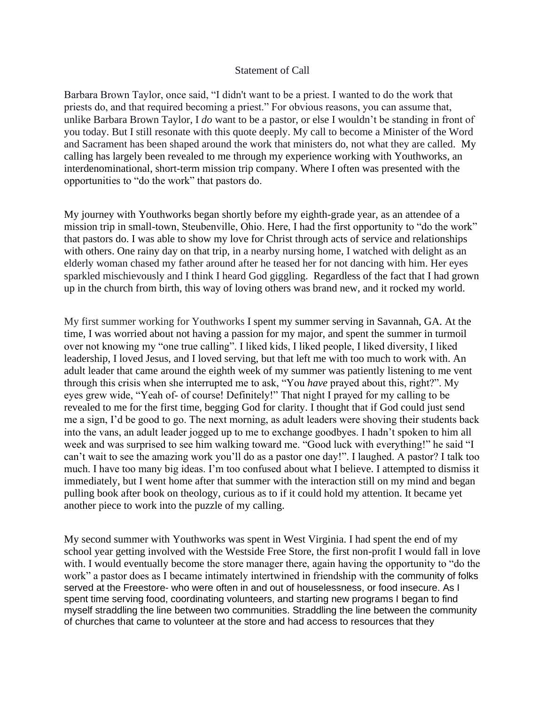## Statement of Call

Barbara Brown Taylor, once said, "I didn't want to be a priest. I wanted to do the work that priests do, and that required becoming a priest." For obvious reasons, you can assume that, unlike Barbara Brown Taylor, I *do* want to be a pastor, or else I wouldn't be standing in front of you today. But I still resonate with this quote deeply. My call to become a Minister of the Word and Sacrament has been shaped around the work that ministers do, not what they are called. My calling has largely been revealed to me through my experience working with Youthworks, an interdenominational, short-term mission trip company. Where I often was presented with the opportunities to "do the work" that pastors do.

My journey with Youthworks began shortly before my eighth-grade year, as an attendee of a mission trip in small-town, Steubenville, Ohio. Here, I had the first opportunity to "do the work" that pastors do. I was able to show my love for Christ through acts of service and relationships with others. One rainy day on that trip, in a nearby nursing home, I watched with delight as an elderly woman chased my father around after he teased her for not dancing with him. Her eyes sparkled mischievously and I think I heard God giggling. Regardless of the fact that I had grown up in the church from birth, this way of loving others was brand new, and it rocked my world.

My first summer working for Youthworks I spent my summer serving in Savannah, GA. At the time, I was worried about not having a passion for my major, and spent the summer in turmoil over not knowing my "one true calling". I liked kids, I liked people, I liked diversity, I liked leadership, I loved Jesus, and I loved serving, but that left me with too much to work with. An adult leader that came around the eighth week of my summer was patiently listening to me vent through this crisis when she interrupted me to ask, "You *have* prayed about this, right?". My eyes grew wide, "Yeah of- of course! Definitely!" That night I prayed for my calling to be revealed to me for the first time, begging God for clarity. I thought that if God could just send me a sign, I'd be good to go. The next morning, as adult leaders were shoving their students back into the vans, an adult leader jogged up to me to exchange goodbyes. I hadn't spoken to him all week and was surprised to see him walking toward me. "Good luck with everything!" he said "I can't wait to see the amazing work you'll do as a pastor one day!". I laughed. A pastor? I talk too much. I have too many big ideas. I'm too confused about what I believe. I attempted to dismiss it immediately, but I went home after that summer with the interaction still on my mind and began pulling book after book on theology, curious as to if it could hold my attention. It became yet another piece to work into the puzzle of my calling.

My second summer with Youthworks was spent in West Virginia. I had spent the end of my school year getting involved with the Westside Free Store, the first non-profit I would fall in love with. I would eventually become the store manager there, again having the opportunity to "do the work" a pastor does as I became intimately intertwined in friendship with the community of folks served at the Freestore- who were often in and out of houselessness, or food insecure. As I spent time serving food, coordinating volunteers, and starting new programs I began to find myself straddling the line between two communities. Straddling the line between the community of churches that came to volunteer at the store and had access to resources that they